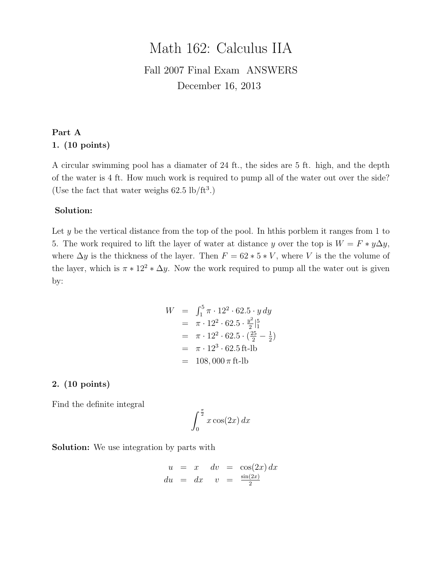# Math 162: Calculus IIA

### Fall 2007 Final Exam ANSWERS December 16, 2013

#### Part A 1. (10 points)

A circular swimming pool has a diamater of 24 ft., the sides are 5 ft. high, and the depth of the water is 4 ft. How much work is required to pump all of the water out over the side? (Use the fact that water weighs  $62.5 \text{ lb/ft}^3$ .)

#### Solution:

Let  $y$  be the vertical distance from the top of the pool. In hthis porblem it ranges from 1 to 5. The work required to lift the layer of water at distance y over the top is  $W = F * y \Delta y$ , where  $\Delta y$  is the thickness of the layer. Then  $F = 62 * 5 * V$ , where V is the the volume of the layer, which is  $\pi * 12^2 * \Delta y$ . Now the work required to pump all the water out is given by:

$$
W = \int_{1}^{5} \pi \cdot 12^{2} \cdot 62.5 \cdot y \, dy
$$
  
=  $\pi \cdot 12^{2} \cdot 62.5 \cdot \frac{y^{2}}{2} \Big|_{1}^{5}$   
=  $\pi \cdot 12^{2} \cdot 62.5 \cdot \left(\frac{25}{2} - \frac{1}{2}\right)$   
=  $\pi \cdot 12^{3} \cdot 62.5 \text{ ft-lb}$   
=  $108,000 \pi \text{ ft-lb}$ 

#### 2. (10 points)

Find the definite integral

$$
\int_0^{\frac{\pi}{2}} x \cos(2x) \, dx
$$

Solution: We use integration by parts with

$$
u = x \quad dv = \cos(2x) dx
$$
  

$$
du = dx \quad v = \frac{\sin(2x)}{2}
$$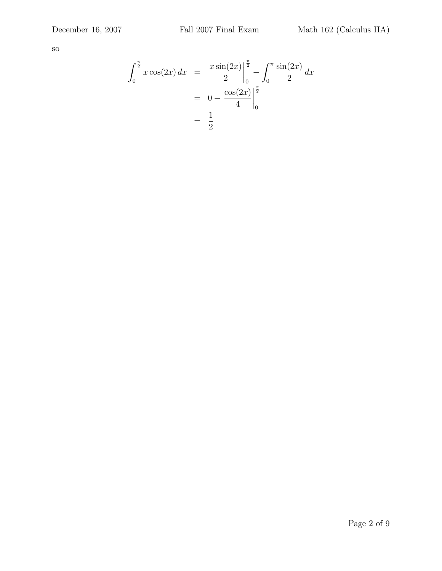so

$$
\int_0^{\frac{\pi}{2}} x \cos(2x) dx = \frac{x \sin(2x)}{2} \Big|_0^{\frac{\pi}{2}} - \int_0^{\pi} \frac{\sin(2x)}{2} dx
$$

$$
= 0 - \frac{\cos(2x)}{4} \Big|_0^{\frac{\pi}{2}}
$$

$$
= \frac{1}{2}
$$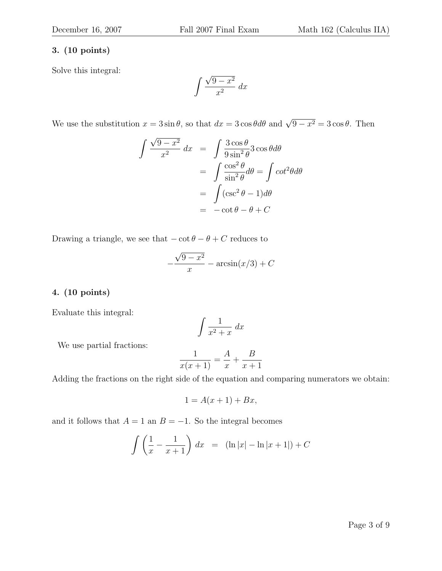Solve this integral:

$$
\int \frac{\sqrt{9-x^2}}{x^2} \, dx
$$

We use the substitution  $x = 3 \sin \theta$ , so that  $dx = 3 \cos \theta d\theta$  and  $\sqrt{9 - x^2} = 3 \cos \theta$ . Then

$$
\int \frac{\sqrt{9 - x^2}}{x^2} dx = \int \frac{3 \cos \theta}{9 \sin^2 \theta} 3 \cos \theta d\theta
$$

$$
= \int \frac{\cos^2 \theta}{\sin^2 \theta} d\theta = \int \cot^2 \theta d\theta
$$

$$
= \int (\csc^2 \theta - 1) d\theta
$$

$$
= -\cot \theta - \theta + C
$$

Drawing a triangle, we see that  $-\cot \theta - \theta + C$  reduces to

$$
-\frac{\sqrt{9-x^2}}{x} - \arcsin(x/3) + C
$$

#### 4. (10 points)

Evaluate this integral:

$$
\int \frac{1}{x^2 + x} \, dx
$$

We use partial fractions:

$$
\frac{1}{x(x+1)} = \frac{A}{x} + \frac{B}{x+1}
$$

Adding the fractions on the right side of the equation and comparing numerators we obtain:

$$
1 = A(x+1) + Bx,
$$

and it follows that  $A = 1$  an  $B = -1$ . So the integral becomes

$$
\int \left(\frac{1}{x} - \frac{1}{x+1}\right) dx = (\ln|x| - \ln|x+1|) + C
$$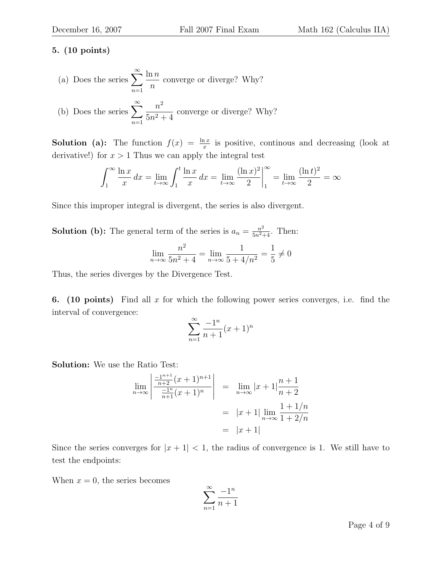(a) Does the series 
$$
\sum_{n=1}^{\infty} \frac{\ln n}{n}
$$
 converge or diverge? Why?  
(b) Does the series 
$$
\sum_{n=1}^{\infty} \frac{n^2}{5n^2 + 4}
$$
 converge or diverge? Why?

**Solution** (a): The function  $f(x) = \frac{\ln x}{x}$  is positive, continuos and decreasing (look at derivative!) for  $x > 1$  Thus we can apply the integral test

$$
\int_{1}^{\infty} \frac{\ln x}{x} dx = \lim_{t \to \infty} \int_{1}^{t} \frac{\ln x}{x} dx = \lim_{t \to \infty} \frac{(\ln x)^{2}}{2} \Big|_{1}^{\infty} = \lim_{t \to \infty} \frac{(\ln t)^{2}}{2} = \infty
$$

Since this improper integral is divergent, the series is also divergent.

**Solution** (b): The general term of the series is  $a_n = \frac{n^2}{5n^2+4}$ . Then:

$$
\lim_{n \to \infty} \frac{n^2}{5n^2 + 4} = \lim_{n \to \infty} \frac{1}{5 + 4/n^2} = \frac{1}{5} \neq 0
$$

Thus, the series diverges by the Divergence Test.

**6.** (10 points) Find all x for which the following power series converges, i.e. find the interval of convergence:

$$
\sum_{n=1}^{\infty} \frac{-1^n}{n+1} (x+1)^n
$$

Solution: We use the Ratio Test:

$$
\lim_{n \to \infty} \left| \frac{\frac{-1^{n+1}}{n+2} (x+1)^{n+1}}{\frac{-1^n}{n+1} (x+1)^n} \right| = \lim_{n \to \infty} |x+1| \frac{n+1}{n+2}
$$

$$
= |x+1| \lim_{n \to \infty} \frac{1+1/n}{1+2/n}
$$

$$
= |x+1|
$$

Since the series converges for  $|x+1| < 1$ , the radius of convergence is 1. We still have to test the endpoints:

When  $x = 0$ , the series becomes

$$
\sum_{n=1}^{\infty} \frac{-1^n}{n+1}
$$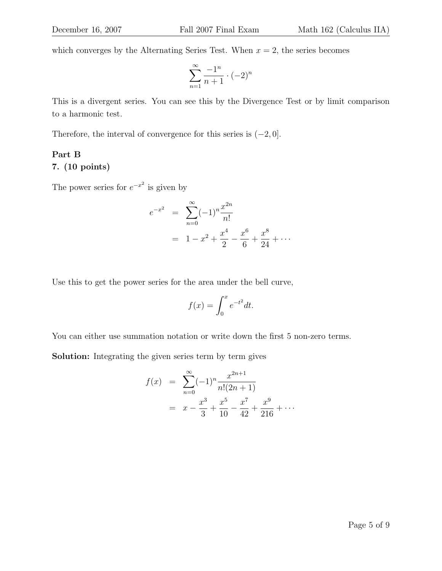which converges by the Alternating Series Test. When  $x = 2$ , the series becomes

$$
\sum_{n=1}^{\infty} \frac{-1^n}{n+1} \cdot (-2)^n
$$

This is a divergent series. You can see this by the Divergence Test or by limit comparison to a harmonic test.

Therefore, the interval of convergence for this series is  $(-2, 0]$ .

## Part B

#### 7. (10 points)

The power series for  $e^{-x^2}$  is given by

$$
e^{-x^2} = \sum_{n=0}^{\infty} (-1)^n \frac{x^{2n}}{n!}
$$
  
=  $1 - x^2 + \frac{x^4}{2} - \frac{x^6}{6} + \frac{x^8}{24} + \cdots$ 

Use this to get the power series for the area under the bell curve,

$$
f(x) = \int_0^x e^{-t^2} dt.
$$

You can either use summation notation or write down the first 5 non-zero terms.

Solution: Integrating the given series term by term gives

$$
f(x) = \sum_{n=0}^{\infty} (-1)^n \frac{x^{2n+1}}{n!(2n+1)}
$$
  
=  $x - \frac{x^3}{3} + \frac{x^5}{10} - \frac{x^7}{42} + \frac{x^9}{216} + \cdots$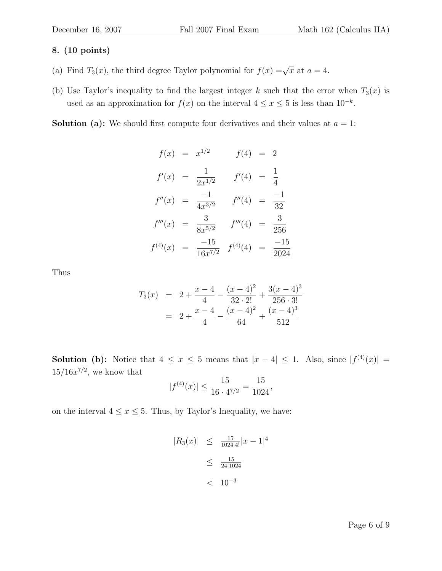- (a) Find  $T_3(x)$ , the third degree Taylor polynomial for  $f(x) = \sqrt{x}$  at  $a = 4$ .
- (b) Use Taylor's inequality to find the largest integer k such that the error when  $T_3(x)$  is used as an approximation for  $f(x)$  on the interval  $4 \leq x \leq 5$  is less than  $10^{-k}$ .

**Solution** (a): We should first compute four derivatives and their values at  $a = 1$ :

$$
f(x) = x^{1/2} \t f(4) = 2
$$
  
\n
$$
f'(x) = \frac{1}{2x^{1/2}} \t f'(4) = \frac{1}{4}
$$
  
\n
$$
f''(x) = \frac{-1}{4x^{3/2}} \t f''(4) = \frac{-1}{32}
$$
  
\n
$$
f'''(x) = \frac{3}{8x^{5/2}} \t f'''(4) = \frac{3}{256}
$$
  
\n
$$
f^{(4)}(x) = \frac{-15}{16x^{7/2}} \t f^{(4)}(4) = \frac{-15}{2024}
$$

Thus

$$
T_3(x) = 2 + \frac{x - 4}{4} - \frac{(x - 4)^2}{32 \cdot 2!} + \frac{3(x - 4)^3}{256 \cdot 3!}
$$
  
= 2 +  $\frac{x - 4}{4} - \frac{(x - 4)^2}{64} + \frac{(x - 4)^3}{512}$ 

**Solution** (b): Notice that  $4 \leq x \leq 5$  means that  $|x-4| \leq 1$ . Also, since  $|f^{(4)}(x)| =$  $15/16x^{7/2}$ , we know that

$$
|f^{(4)}(x)| \le \frac{15}{16 \cdot 4^{7/2}} = \frac{15}{1024},
$$

on the interval  $4 \le x \le 5$ . Thus, by Taylor's Inequality, we have:

$$
|R_3(x)| \leq \frac{15}{1024 \cdot 4!} |x - 1|^4
$$
  

$$
\leq \frac{15}{24 \cdot 1024}
$$
  

$$
< 10^{-3}
$$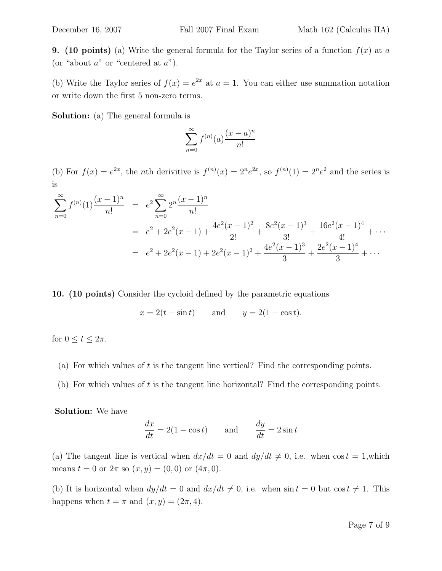**9.** (10 points) (a) Write the general formula for the Taylor series of a function  $f(x)$  at a (or "about  $a$ " or "centered at  $a$ ").

(b) Write the Taylor series of  $f(x) = e^{2x}$  at  $a = 1$ . You can either use summation notation or write down the first 5 non-zero terms.

Solution: (a) The general formula is

$$
\sum_{n=0}^{\infty} f^{(n)}(a) \frac{(x-a)^n}{n!}
$$

(b) For  $f(x) = e^{2x}$ , the *n*th derivitive is  $f^{(n)}(x) = 2^n e^{2x}$ , so  $f^{(n)}(1) = 2^n e^{2}$  and the series is is

$$
\sum_{n=0}^{\infty} f^{(n)}(1) \frac{(x-1)^n}{n!} = e^2 \sum_{n=0}^{\infty} 2^n \frac{(x-1)^n}{n!}
$$
  
=  $e^2 + 2e^2(x-1) + \frac{4e^2(x-1)^2}{2!} + \frac{8e^2(x-1)^3}{3!} + \frac{16e^2(x-1)^4}{4!} + \cdots$   
=  $e^2 + 2e^2(x-1) + 2e^2(x-1)^2 + \frac{4e^2(x-1)^3}{3} + \frac{2e^2(x-1)^4}{3} + \cdots$ 

10. (10 points) Consider the cycloid defined by the parametric equations

$$
x = 2(t - \sin t) \qquad \text{and} \qquad y = 2(1 - \cos t).
$$

for  $0 \le t \le 2\pi$ .

- (a) For which values of  $t$  is the tangent line vertical? Find the corresponding points.
- (b) For which values of  $t$  is the tangent line horizontal? Find the corresponding points.

Solution: We have

$$
\frac{dx}{dt} = 2(1 - \cos t) \quad \text{and} \quad \frac{dy}{dt} = 2\sin t
$$

(a) The tangent line is vertical when  $dx/dt = 0$  and  $dy/dt \neq 0$ , i.e. when cos  $t = 1$ , which means  $t = 0$  or  $2\pi$  so  $(x, y) = (0, 0)$  or  $(4\pi, 0)$ .

(b) It is horizontal when  $dy/dt = 0$  and  $dx/dt \neq 0$ , i.e. when  $\sin t = 0$  but  $\cos t \neq 1$ . This happens when  $t = \pi$  and  $(x, y) = (2\pi, 4)$ .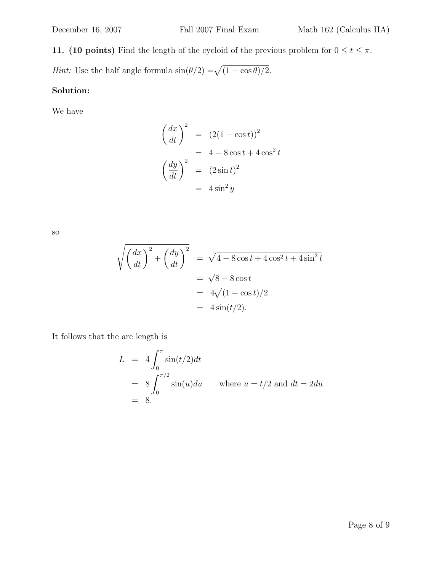**11.** (10 points) Find the length of the cycloid of the previous problem for  $0 \le t \le \pi$ . *Hint*: Use the half angle formula  $\sin(\theta/2) = \sqrt{(1 - \cos \theta)/2}$ .

#### Solution:

We have

$$
\left(\frac{dx}{dt}\right)^2 = (2(1 - \cos t))^2
$$

$$
= 4 - 8\cos t + 4\cos^2 t
$$

$$
\left(\frac{dy}{dt}\right)^2 = (2\sin t)^2
$$

$$
= 4\sin^2 y
$$

so

$$
\sqrt{\left(\frac{dx}{dt}\right)^2 + \left(\frac{dy}{dt}\right)^2} = \sqrt{4 - 8\cos t + 4\cos^2 t + 4\sin^2 t}
$$

$$
= \sqrt{8 - 8\cos t}
$$

$$
= 4\sqrt{(1 - \cos t)/2}
$$

$$
= 4\sin(t/2).
$$

It follows that the arc length is

$$
L = 4 \int_0^{\pi} \sin(t/2) dt
$$
  
=  $8 \int_0^{\pi/2} \sin(u) du$  where  $u = t/2$  and  $dt = 2du$   
= 8.